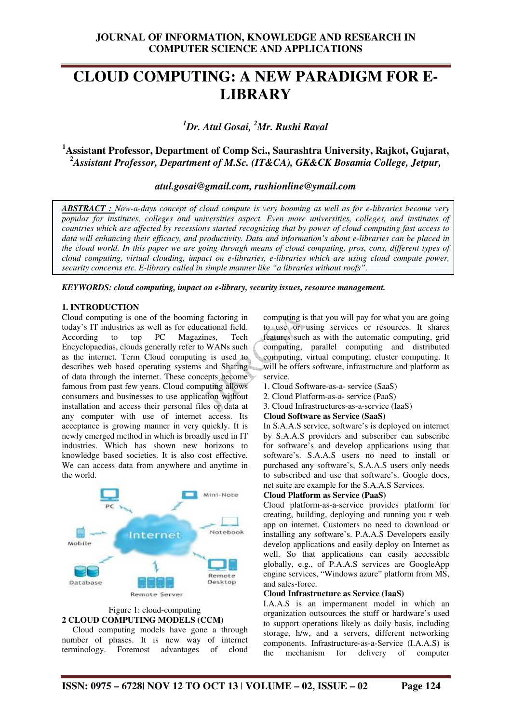# **CLOUD COMPUTING: A NEW PARADIGM FOR E-LIBRARY**

*<sup>1</sup>Dr. Atul Gosai, <sup>2</sup>Mr. Rushi Raval* 

## **<sup>1</sup>Assistant Professor, Department of Comp Sci., Saurashtra University, Rajkot, Gujarat, <sup>2</sup>***Assistant Professor, Department of M.Sc. (IT&CA), GK&CK Bosamia College, Jetpur,*

*atul.gosai@gmail.com, rushionline@ymail.com* 

*ABSTRACT : Now-a-days concept of cloud compute is very booming as well as for e-libraries become very popular for institutes, colleges and universities aspect. Even more universities, colleges, and institutes of countries which are affected by recessions started recognizing that by power of cloud computing fast access to data will enhancing their efficacy, and productivity. Data and information's about e-libraries can be placed in the cloud world. In this paper we are going through means of cloud computing, pros, cons, different types of cloud computing, virtual clouding, impact on e-libraries, e-libraries which are using cloud compute power, security concerns etc. E-library called in simple manner like "a libraries without roofs".* 

*KEYWORDS: cloud computing, impact on e-library, security issues, resource management.* 

## **1. INTRODUCTION**

Cloud computing is one of the booming factoring in today's IT industries as well as for educational field. According to top PC Magazines, Tech Encyclopaedias, clouds generally refer to WANs such as the internet. Term Cloud computing is used to describes web based operating systems and Sharing of data through the internet. These concepts become famous from past few years. Cloud computing allows consumers and businesses to use application without installation and access their personal files or data at any computer with use of internet access. Its acceptance is growing manner in very quickly. It is newly emerged method in which is broadly used in IT industries. Which has shown new horizons to knowledge based societies. It is also cost effective. We can access data from anywhere and anytime in the world.



## Figure 1: cloud-computing **2 CLOUD COMPUTING MODELS (CCM)**

 Cloud computing models have gone a through number of phases. It is new way of internet terminology. Foremost advantages of cloud computing is that you will pay for what you are going to use or using services or resources. It shares features such as with the automatic computing, grid computing, parallel computing and distributed computing, virtual computing, cluster computing. It will be offers software, infrastructure and platform as service.

- 1. Cloud Software-as-a- service (SaaS)
- 2. Cloud Platform-as-a- service (PaaS)
- 3. Cloud Infrastructures-as-a-service (IaaS)

## **Cloud Software as Service (SaaS)**

In S.A.A.S service, software's is deployed on internet by S.A.A.S providers and subscriber can subscribe for software's and develop applications using that software's. S.A.A.S users no need to install or purchased any software's, S.A.A.S users only needs to subscribed and use that software's. Google docs, net suite are example for the S.A.A.S Services.

## **Cloud Platform as Service (PaaS)**

Cloud platform-as-a-service provides platform for creating, building, deploying and running you r web app on internet. Customers no need to download or installing any software's. P.A.A.S Developers easily develop applications and easily deploy on Internet as well. So that applications can easily accessible globally, e.g., of P.A.A.S services are GoogleApp engine services, "Windows azure" platform from MS, and sales-force.

#### **Cloud Infrastructure as Service (IaaS)**

I.A.A.S is an impermanent model in which an organization outsources the stuff or hardware's used to support operations likely as daily basis, including storage, h/w, and a servers, different networking components. Infrastructure-as-a-Service (I.A.A.S) is the mechanism for delivery of computer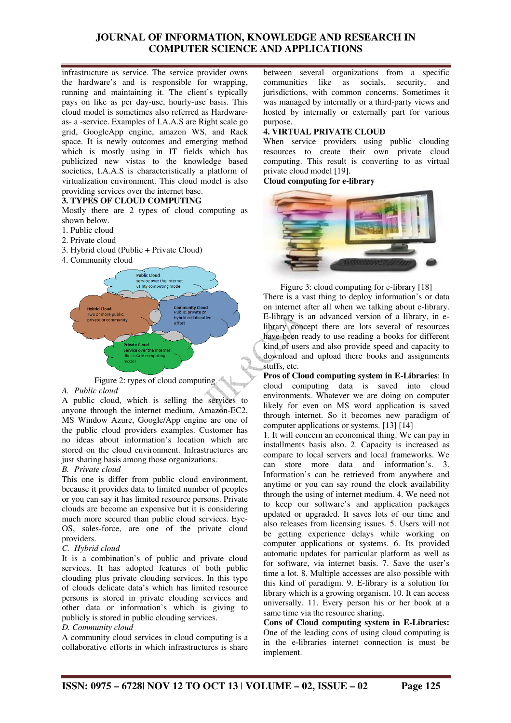## **JOURNAL OF INFORMATION, KNOWLEDGE AND RESEARCH IN COMPUTER SCIENCE AND APPLICATIONS**

infrastructure as service. The service provider owns the hardware's and is responsible for wrapping, running and maintaining it. The client's typically pays on like as per day-use, hourly-use basis. This cloud model is sometimes also referred as Hardwareas- a -service. Examples of I.A.A.S are Right scale go grid, GoogleApp engine, amazon WS, and Rack space. It is newly outcomes and emerging method which is mostly using in IT fields which has publicized new vistas to the knowledge based societies, I.A.A.S is characteristically a platform of virtualization environment. This cloud model is also providing services over the internet base.

## **3. TYPES OF CLOUD COMPUTING**

Mostly there are 2 types of cloud computing as shown below.

- 1. Public cloud
- 2. Private cloud
- 3. Hybrid cloud (Public + Private Cloud)
- 4. Community cloud





## *A. Public cloud*

A public cloud, which is selling the services to anyone through the internet medium, Amazon-EC2, MS Window Azure, Google/App engine are one of the public cloud providers examples. Customer has no ideas about information's location which are stored on the cloud environment. Infrastructures are just sharing basis among those organizations.

## *B. Private cloud*

This one is differ from public cloud environment, because it provides data to limited number of peoples or you can say it has limited resource persons. Private clouds are become an expensive but it is considering much more secured than public cloud services. Eye-OS, sales-force, are one of the private cloud providers.

## *C. Hybrid cloud*

It is a combination's of public and private cloud services. It has adopted features of both public clouding plus private clouding services. In this type of clouds delicate data's which has limited resource persons is stored in private clouding services and other data or information's which is giving to publicly is stored in public clouding services.

## *D. Community cloud*

A community cloud services in cloud computing is a collaborative efforts in which infrastructures is share

between several organizations from a specific communities like as socials, security, and jurisdictions, with common concerns. Sometimes it was managed by internally or a third-party views and hosted by internally or externally part for various purpose.

## **4. VIRTUAL PRIVATE CLOUD**

When service providers using public clouding resources to create their own private cloud computing. This result is converting to as virtual private cloud model [19].

**Cloud computing for e-library** 



Figure 3: cloud computing for e-library [18] There is a vast thing to deploy information's or data on internet after all when we talking about e-library. E-library is an advanced version of a library, in elibrary concept there are lots several of resources have been ready to use reading a books for different kind of users and also provide speed and capacity to download and upload there books and assignments stuffs, etc.

**Pros of Cloud computing system in E-Libraries**: In cloud computing data is saved into cloud environments. Whatever we are doing on computer likely for even on MS word application is saved through internet. So it becomes new paradigm of computer applications or systems. [13] [14]

1. It will concern an economical thing. We can pay in installments basis also. 2. Capacity is increased as compare to local servers and local frameworks. We can store more data and information's. 3. Information's can be retrieved from anywhere and anytime or you can say round the clock availability through the using of internet medium. 4. We need not to keep our software's and application packages updated or upgraded. It saves lots of our time and also releases from licensing issues. 5. Users will not be getting experience delays while working on computer applications or systems. 6. Its provided automatic updates for particular platform as well as for software, via internet basis. 7. Save the user's time a lot. 8. Multiple accesses are also possible with this kind of paradigm. 9. E-library is a solution for library which is a growing organism. 10. It can access universally. 11. Every person his or her book at a same time via the resource sharing.

**Cons of Cloud computing system in E-Libraries:**  One of the leading cons of using cloud computing is in the e-libraries internet connection is must be implement.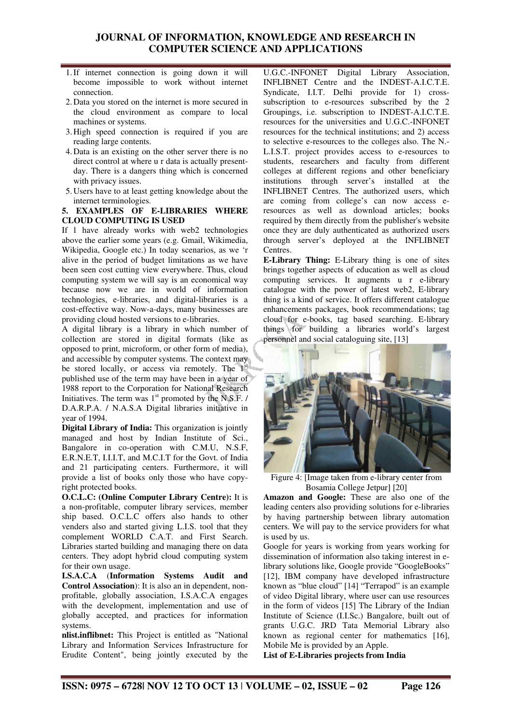## **JOURNAL OF INFORMATION, KNOWLEDGE AND RESEARCH IN COMPUTER SCIENCE AND APPLICATIONS**

- 1.If internet connection is going down it will become impossible to work without internet connection.
- 2. Data you stored on the internet is more secured in the cloud environment as compare to local machines or systems.
- 3. High speed connection is required if you are reading large contents.
- 4. Data is an existing on the other server there is no direct control at where u r data is actually presentday. There is a dangers thing which is concerned with privacy issues.
- 5. Users have to at least getting knowledge about the internet terminologies.

#### **5. EXAMPLES OF E-LIBRARIES WHERE CLOUD COMPUTING IS USED**

If 1 have already works with web2 technologies above the earlier some years (e.g. Gmail, Wikimedia, Wikipedia, Google etc.) In today scenarios, as we 'r alive in the period of budget limitations as we have been seen cost cutting view everywhere. Thus, cloud computing system we will say is an economical way because now we are in world of information technologies, e-libraries, and digital-libraries is a cost-effective way. Now-a-days, many businesses are providing cloud hosted versions to e-libraries.

A digital library is a library in which number of collection are stored in digital formats (like as opposed to print, microform, or other form of media), and accessible by computer systems. The context may be stored locally, or access via remotely. The 1<sup>st</sup> published use of the term may have been in a year of 1988 report to the Corporation for National Research Initiatives. The term was  $1<sup>st</sup>$  promoted by the N.S.F. / D.A.R.P.A. / N.A.S.A Digital libraries initiative in year of 1994.

**Digital Library of India:** This organization is jointly managed and host by Indian Institute of Sci., Bangalore in co-operation with C.M.U, N.S.F, E.R.N.E.T, I.I.I.T, and M.C.I.T for the Govt. of India and 21 participating centers. Furthermore, it will provide a list of books only those who have copyright protected books.

**O.C.L.C: (Online Computer Library Centre):** It is a non-profitable, computer library services, member ship based. O.C.L.C offers also hands to other venders also and started giving L.I.S. tool that they complement WORLD C.A.T. and First Search. Libraries started building and managing there on data centers. They adopt hybrid cloud computing system for their own usage.

**I.S.A.C.A** (**Information Systems Audit and Control Association**): It is also an in dependent, nonprofitable, globally association, I.S.A.C.A engages with the development, implementation and use of globally accepted, and practices for information systems.

**nlist.inflibnet:** This Project is entitled as "National Library and Information Services Infrastructure for Erudite Content", being jointly executed by the

U.G.C.-INFONET Digital Library Association, INFLIBNET Centre and the INDEST-A.I.C.T.E. Syndicate, I.I.T. Delhi provide for 1) crosssubscription to e-resources subscribed by the 2 Groupings, i.e. subscription to INDEST-A.I.C.T.E. resources for the universities and U.G.C.-INFONET resources for the technical institutions; and 2) access to selective e-resources to the colleges also. The N.- L.I.S.T. project provides access to e-resources to students, researchers and faculty from different colleges at different regions and other beneficiary institutions through server's installed at the INFLIBNET Centres. The authorized users, which are coming from college's can now access eresources as well as download articles; books required by them directly from the publisher's website once they are duly authenticated as authorized users through server's deployed at the INFLIBNET Centres.

**E-Library Thing:** E-Library thing is one of sites brings together aspects of education as well as cloud computing services. It augments u r e-library catalogue with the power of latest web2, E-library thing is a kind of service. It offers different catalogue enhancements packages, book recommendations; tag cloud for e-books, tag based searching. E-library things for building a libraries world's largest personnel and social cataloguing site, [13]



Figure 4: [Image taken from e-library center from Bosamia College Jetpur] [20]

**Amazon and Google:** These are also one of the leading centers also providing solutions for e-libraries by having partnership between library automation centers. We will pay to the service providers for what is used by us.

Google for years is working from years working for dissemination of information also taking interest in elibrary solutions like, Google provide "GoogleBooks" [12], IBM company have developed infrastructure known as "blue cloud" [14] "Terrapod" is an example of video Digital library, where user can use resources in the form of videos [15] The Library of the Indian Institute of Science (I.I.Sc.) Bangalore, built out of grants U.G.C. JRD Tata Memorial Library also known as regional center for mathematics [16], Mobile Me is provided by an Apple.

**List of E-Libraries projects from India**